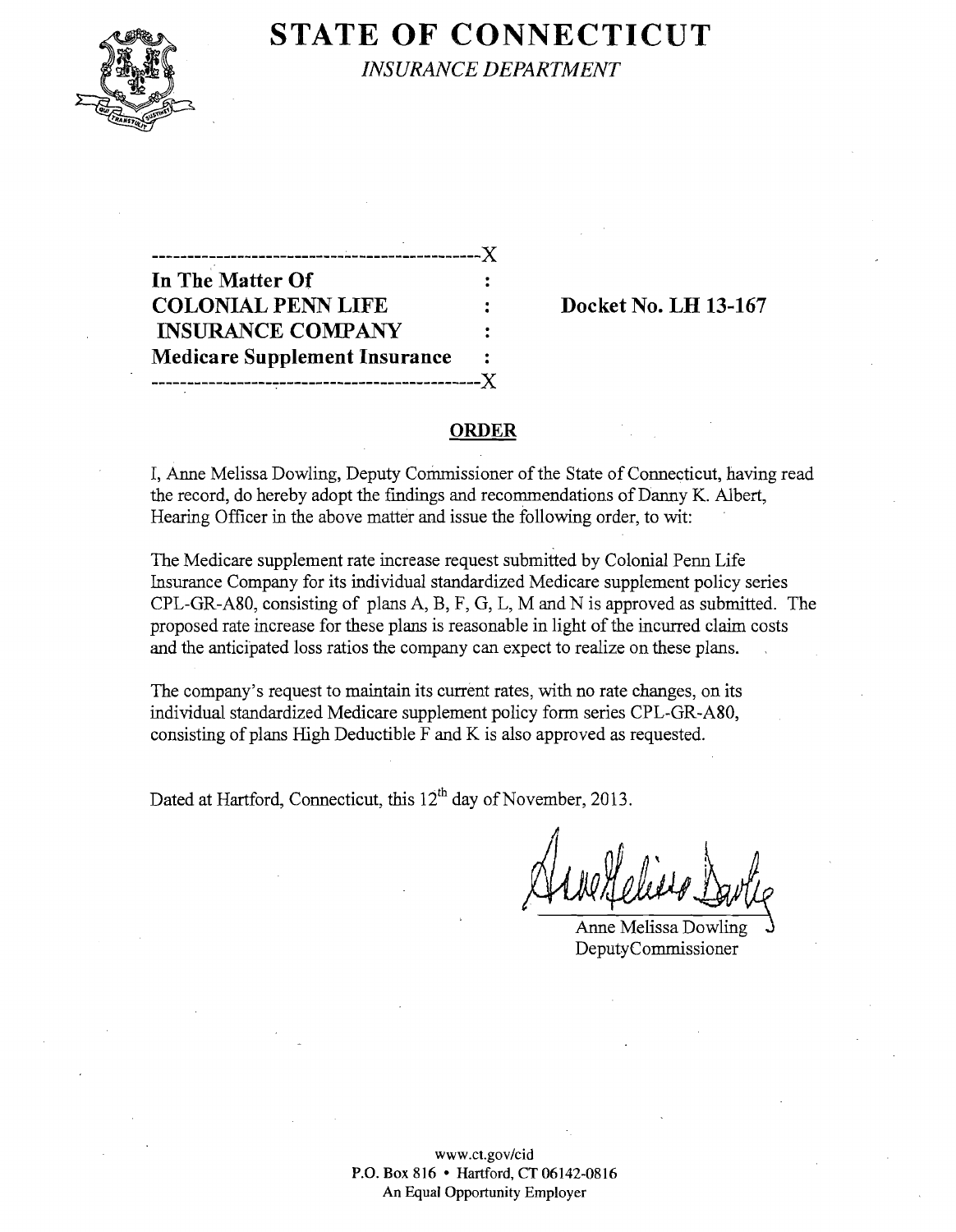

## **STATE OF CONNECTICUT**

*INSURANCE DEPARTMENT* 

| __________<br>---------------        |                |
|--------------------------------------|----------------|
| In The Matter Of                     |                |
| <b>COLONIAL PENN LIFE</b>            |                |
| <b>INSURANCE COMPANY</b>             | $\ddot{\cdot}$ |
| <b>Medicare Supplement Insurance</b> | $\ddot{\cdot}$ |
|                                      |                |

 $\overline{X}$   $\overline{X}$ 

**Docket No. LH 13-167** 

## **ORDER**

I, Anne Melissa Dowling, Deputy Commissioner of the State of Connecticut, having read the record, do hereby adopt the findings and recommendations of Danny K. Albert, Hearing Officer in the above matter and issue the following order, to wit:

The Medicare supplement rate increase request submitted by Colonial Penn Life Insurance Company for its individual standardized Medicare supplement policy series CPL-GR-A80, consisting of plans A, B, F, G, L, M and N is approved as submitted. The proposed rate increase for these plans is reasonable in light of the incurred claim costs and the anticipated loss ratios the company can expect to realize on these plans.

The company's request to maintain its current rates, with no rate changes, on its individual standardized Medicare supplement policy form series CPL-GR-A80, consisting of plans High Deductible F and K is also approved as requested.

Dated at Hartford, Connecticut, this 12<sup>th</sup> day of November, 2013.

/,

Anne Melissa Dowling DeputyCommissioner

www.ct.gov/cid P.O. Box 816 • Hartford, CT 06142-0816 An Equal Opportunity Employer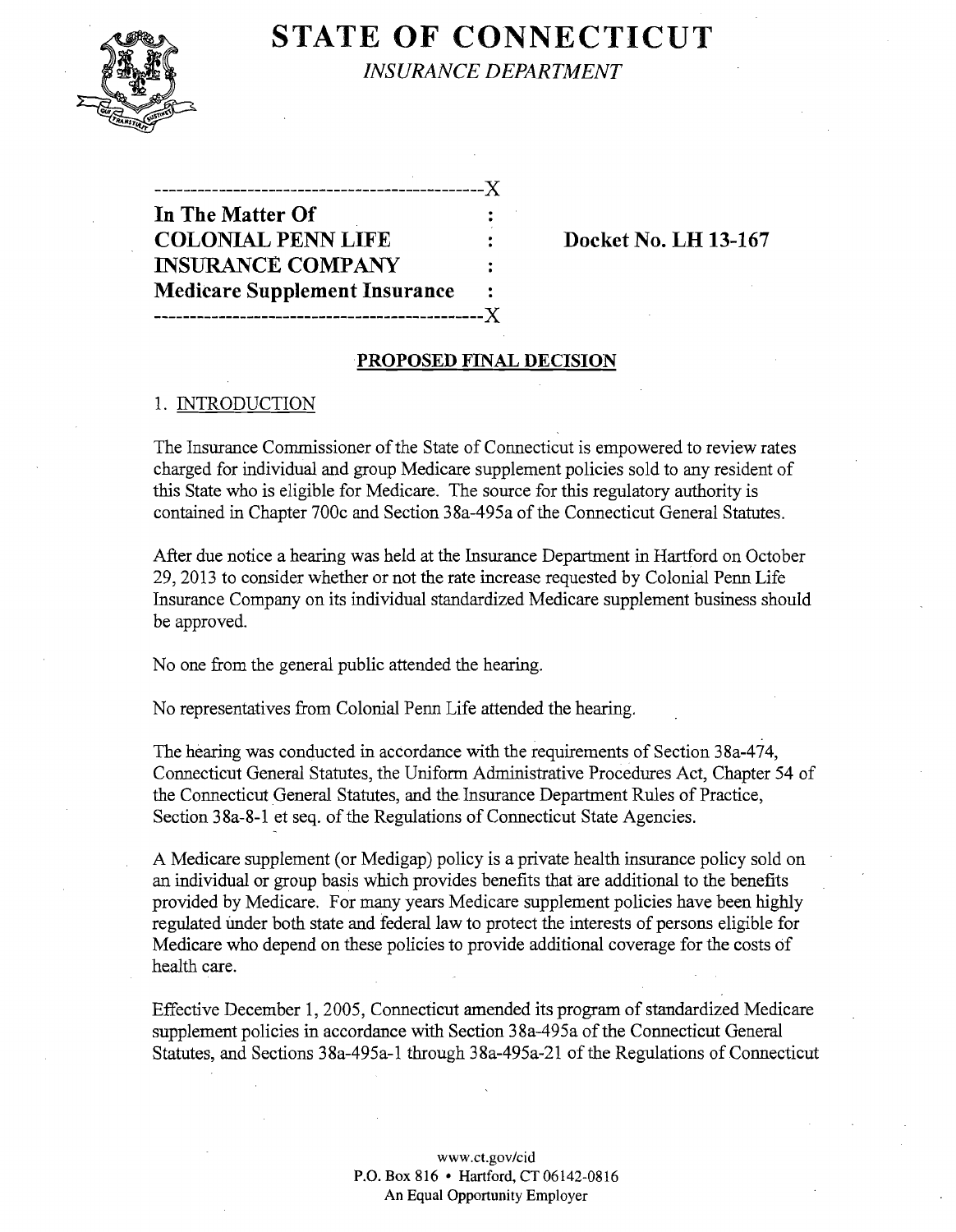

# **STATE OF CONNECTICUT**

*INSURANCE DEPARTMENT* 

**----------------------------------------------J( In The Matter Of COLONIAL PENN LIFE : Docket No. LH 13-167 INSURANCE COMPANY Medicare Supplement Insurance ----------------------------------------------J(** 

#### **PROPOSED FINAL DECISION**

#### 1. INTRODUCTION

The Insurance Commissioner of the State of Connecticut is empowered to review rates charged for individual and group Medicare supplement policies sold to any resident of this State who is eligible for Medicare. The source for this regulatory authority is contained in Chapter 700c and Section 38a-495a of the Connecticut General Statutes.

After due notice a hearing was held at the Insurance Department in Hartford on October 29,2013 to consider whether or not the rate increase requested by Colonial Penn Life Insurance Company on its individual standardized Medicare supplement business should be approved.

No one from the general public attended the hearing.

No representatives from Colonial Penn Life attended the hearing.

The hearing was conducted in accordance with the requirements of Section 38a-474, Connecticut General Statutes, the Uniform Administrative Procedures Act, Chapter 54 of the Connecticut General Statutes, and the Insurance Department Rules of Practice, Section 38a-8-1 et seq. of the Regulations of Connecticut State Agencies.

A Medicare supplement (or Medigap) policy is a private health insurance policy sold on an individual or group basis which provides benefits that are additional to the benefits provided by Medicare. For many years Medicare supplement policies have been highly regulated Under both state and federal law to protect the interests of persons eligible for Medicare who depend on these policies to provide additional coverage for the costs of health care.

Effective December 1, 2005, Connecticut amended its program of standardized Medicare supplement policies in accordance with Section 38a-495a of the Connecticut General Statutes, and Sections 38a-495a-1 through 38a-495a-21 of the Regulations of Connecticut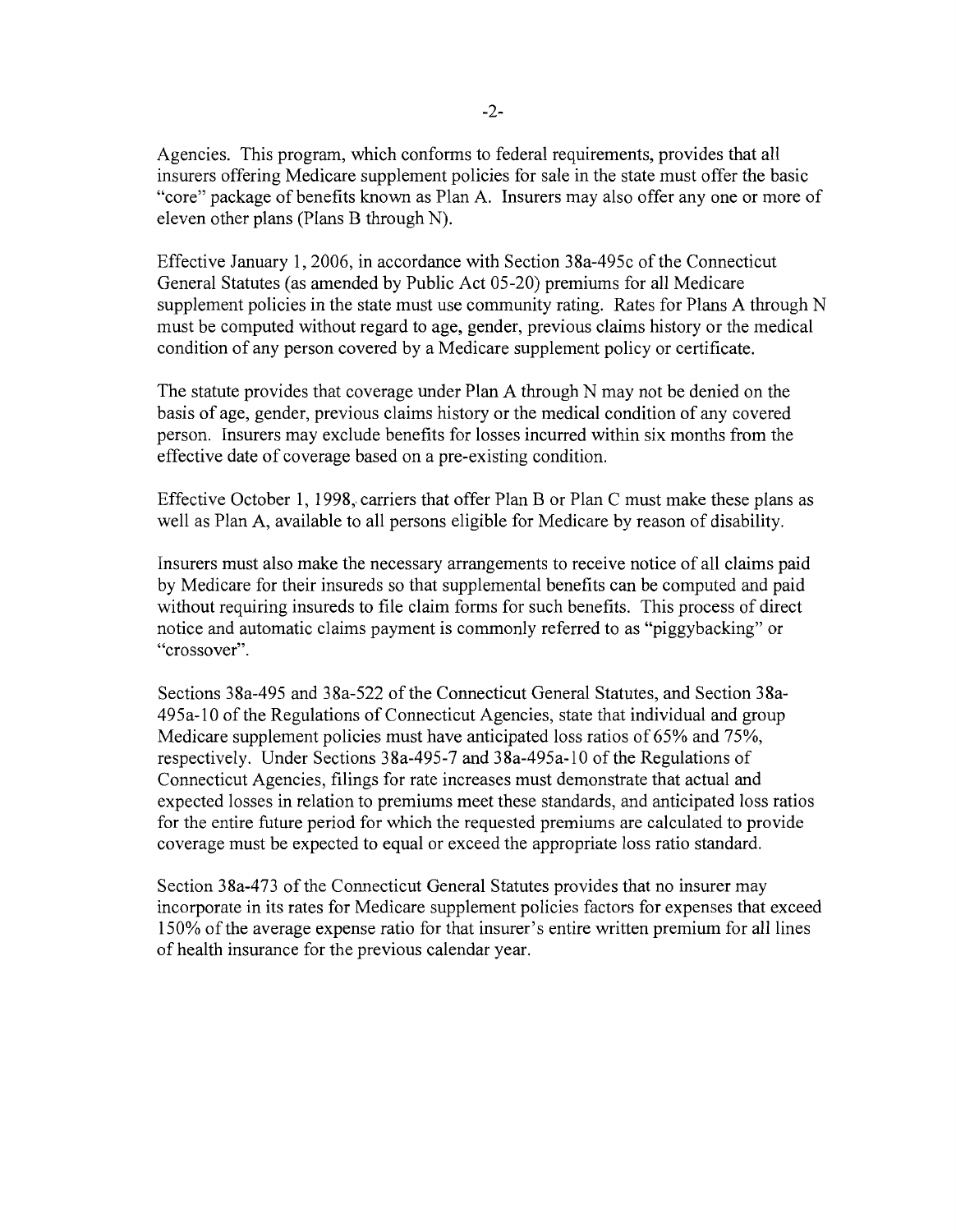Agencies. This program, which conforms to federal requirements, provides that all insurers offering Medicare supplement policies for sale in the state must offer the basic "core" package of benefits known as Plan A. Insurers may also offer anyone or more of eleven other plans (Plans B through N).

Effective January 1,2006, in accordance with Section 38a-495c ofthe Connecticut General Statutes (as amended by Public Act 05-20) premiums for all Medicare supplement policies in the state must use community rating. Rates for Plans A through N must be computed without regard to age, gender, previous claims history or the medical condition of any person covered by a Medicare supplement policy or certificate.

The statute provides that coverage under Plan A through N may not be denied on the basis of age, gender, previous claims history or the medical condition of any covered person. Insurers may exclude benefits for losses incurred within six months from the effective date of coverage based on a pre-existing condition.

Effective October 1, 1998, carriers that offer Plan B or Plan C must make these plans as well as Plan A, available to all persons eligible for Medicare by reason of disability.

Insurers must also make the necessary arrangements to receive notice of all claims paid by Medicare for their insureds so that supplemental benefits can be computed and paid without requiring insureds to file claim forms for such benefits. This process of direct notice and automatic claims payment is commonly referred to as "piggybacking" or "crossover".

Sections 38a-495 and 38a-522 of the Connecticut General Statutes, and Section 38a-495a-lO of the Regulations of Connecticut Agencies, state that individual and group Medicare supplement policies must have anticipated loss ratios of 65% and 75%, respectively. Under Sections 38a-495-7 and 38a-495a-10 of the Regulations of Connecticut Agencies, filings for rate increases must demonstrate that actual and expected losses in relation to premiums meet these standards, and anticipated loss ratios for the entire future period for which the requested premiums are calculated to provide coverage must be expected to equal or exceed the appropriate loss ratio standard.

Section 38a-473 of the Connecticut General Statutes provides that no insurer may incorporate in its rates for Medicare supplement policies factors for expenses that exceed 150% of the average expense ratio for that insurer's entire written premium for all lines of health insurance for the previous calendar year.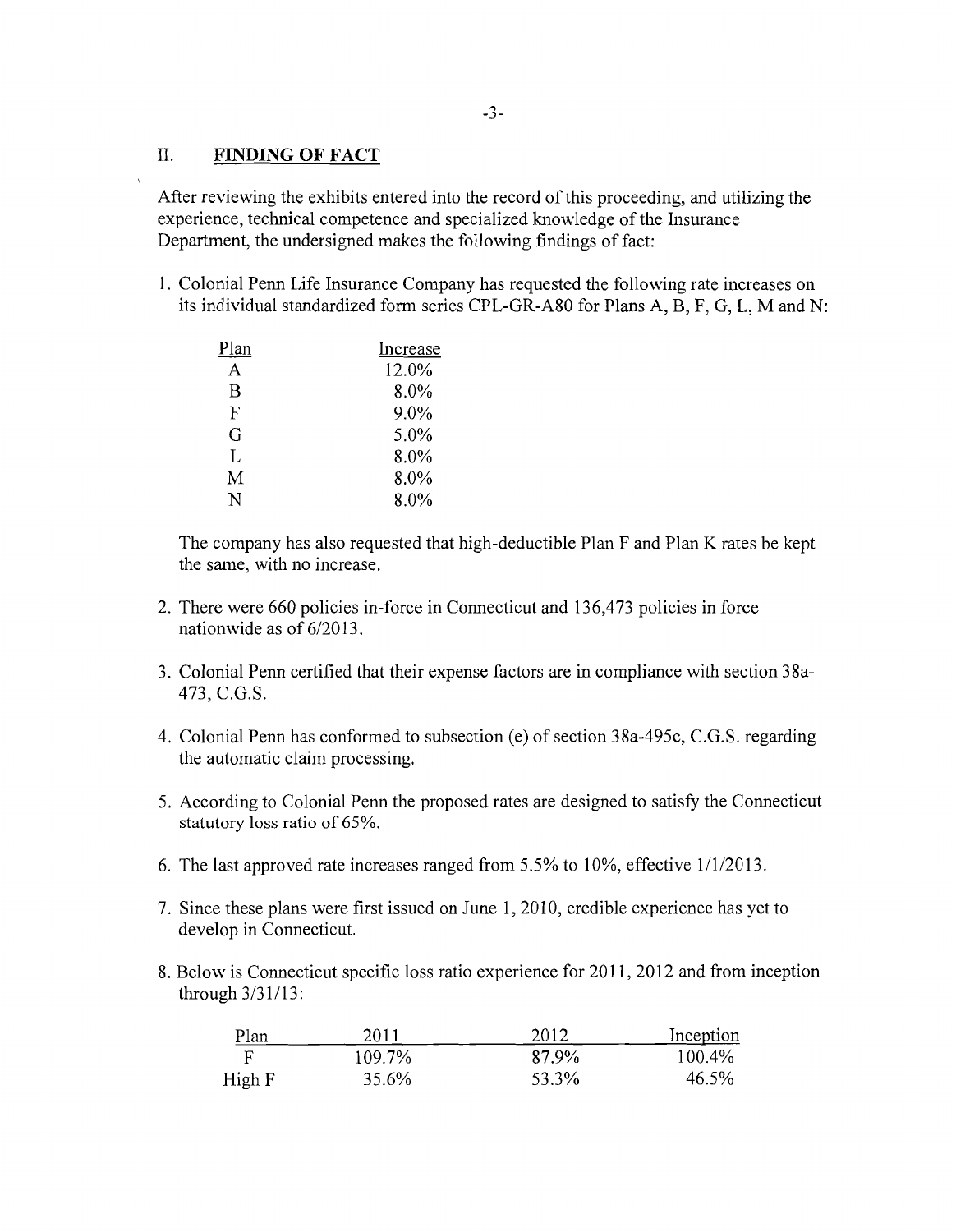### II. **FINDING OF FACT**

After reviewing the exhibits entered into the record of this proceeding, and utilizing the experience, technical competence and specialized knowledge of the Insurance Department, the undersigned makes the following findings of fact:

1. Colonial Penn Life Insurance Company has requested the following rate increases on its individual standardized form series CPL-GR-A80 for Plans A, B, F, G, L, M and N:

| Plan | Increase |
|------|----------|
| A    | 12.0%    |
| B    | 8.0%     |
| F    | 9.0%     |
| G    | 5.0%     |
| L    | 8.0%     |
| M    | 8.0%     |
| N    | 8.0%     |

The company has also requested that high-deductible Plan F and Plan K rates be kept the same, with no increase.

- 2. There were 660 policies in-force in Connecticut and 136,473 policies in force nationwide as of 6/2013.
- 3. Colonial Penn certified that their expense factors are in compliance with section 38a-473, C.G.S.
- 4. Colonial Penn has conformed to subsection (e) of section 38a-495c, C.G.S. regarding the automatic claim processing.
- 5. According to Colonial Penn the proposed rates are designed to satisfy the Connecticut statutory loss ratio of 65%.
- 6. The last approved rate increases ranged from 5.5% to 10%, effective 1/1/2013.
- 7. Since these plans were first issued on June 1, 2010, credible experience has yet to develop in Connecticut.
- 8. Below is Connecticut specific loss ratio experience for 2011, 2012 and from inception through 3/31/13:

| Plan   | 2011   | 2012  | Inception |
|--------|--------|-------|-----------|
|        | 109.7% | 87.9% | $100.4\%$ |
| High F | 35.6%  | 53.3% | 46.5%     |